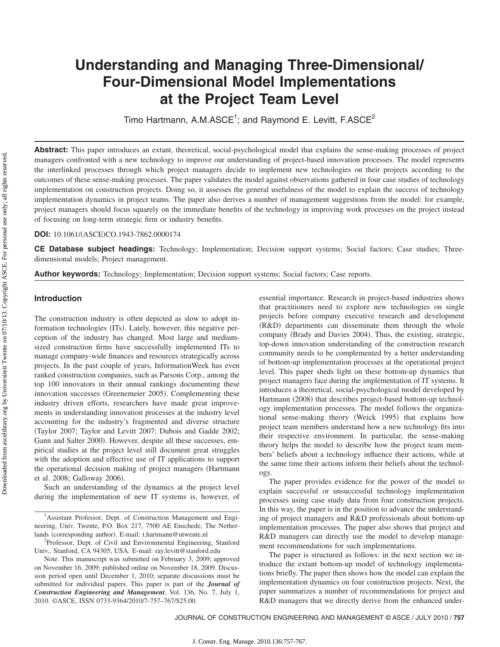# **Understanding and Managing Three-Dimensional/ Four-Dimensional Model Implementations at the Project Team Level**

Timo Hartmann, A.M.ASCE<sup>1</sup>; and Raymond E. Levitt, F.ASCE<sup>2</sup>

**Abstract:** This paper introduces an extant, theoretical, social-psychological model that explains the sense-making processes of project managers confronted with a new technology to improve our understanding of project-based innovation processes. The model represents the interlinked processes through which project managers decide to implement new technologies on their projects according to the outcomes of these sense-making processes. The paper validates the model against observations gathered in four case studies of technology implementation on construction projects. Doing so, it assesses the general usefulness of the model to explain the success of technology implementation dynamics in project teams. The paper also derives a number of management suggestions from the model: for example, project managers should focus squarely on the immediate benefits of the technology in improving work processes on the project instead of focusing on long-term strategic firm or industry benefits.

#### **DOI:** 10.1061/(ASCE)CO.1943-7862.0000174

**CE Database subject headings:** Technology; Implementation; Decision support systems; Social factors; Case studies; Threedimensional models; Project management.

**Author keywords:** Technology; Implementation; Decision support systems; Social factors; Case reports.

## **Introduction**

The construction industry is often depicted as slow to adopt information technologies (ITs). Lately, however, this negative perception of the industry has changed. Most large and mediumsized construction firms have successfully implemented ITs to manage company-wide finances and resources strategically across projects. In the past couple of years, InformationWeek has even ranked construction companies, such as Parsons Corp., among the top 100 innovators in their annual rankings documenting these innovation successes (Greenemeier 2005). Complementing these industry driven efforts, researchers have made great improvements in understanding innovation processes at the industry level accounting for the industry's fragmented and diverse structure Taylor 2007; Taylor and Levitt 2007; Dubois and Gadde 2002; Gann and Salter 2000). However, despite all these successes, empirical studies at the project level still document great struggles with the adoption and effective use of IT applications to support the operational decision making of project managers (Hartmann et al. 2008; Galloway 2006).

Such an understanding of the dynamics at the project level during the implementation of new IT systems is, however, of

<sup>1</sup>Assistant Professor, Dept. of Construction Management and Engineering, Univ. Twente, P.O. Box 217, 7500 AE Enschede, The Netherlands (corresponding author). E-mail: t.hartmann@utwente.nl<br><sup>2</sup>Drefeccer. Dant. of Civil and Environmental Engineerin

 ${}^{2}$ Professor, Dept. of Civil and Environmental Engineering, Stanford Univ., Stanford, CA 94305, USA. E-mail: ray.levitt@stanford.edu

Note. This manuscript was submitted on February 3, 2009; approved on November 16, 2009; published online on November 18, 2009. Discussion period open until December 1, 2010; separate discussions must be submitted for individual papers. This paper is part of the *Journal of Construction Engineering and Management*, Vol. 136, No. 7, July 1, 2010. ©ASCE, ISSN 0733-9364/2010/7-757–767/\$25.00.

essential importance. Research in project-based industries shows that practitioners need to explore new technologies on single projects before company executive research and development (R&D) departments can disseminate them through the whole company (Brady and Davies 2004). Thus, the existing, strategic, top-down innovation understanding of the construction research community needs to be complemented by a better understanding of bottom-up implementation processes at the operational project level. This paper sheds light on these bottom-up dynamics that project managers face during the implementation of IT systems. It introduces a theoretical, social-psychological model developed by Hartmann (2008) that describes project-based bottom-up technology implementation processes. The model follows the organizational sense-making theory (Weick 1995) that explains how project team members understand how a new technology fits into their respective environment. In particular, the sense-making theory helps the model to describe how the project team members' beliefs about a technology influence their actions, while at the same time their actions inform their beliefs about the technology.

The paper provides evidence for the power of the model to explain successful or unsuccessful technology implementation processes using case study data from four construction projects. In this way, the paper is in the position to advance the understanding of project managers and R&D professionals about bottom-up implementation processes. The paper also shows that project and R&D managers can directly use the model to develop management recommendations for such implementations.

The paper is structured as follows: in the next section we introduce the extant bottom-up model of technology implementations briefly. The paper then shows how the model can explain the implementation dynamics on four construction projects. Next, the paper summarizes a number of recommendations for project and R&D managers that we directly derive from the enhanced under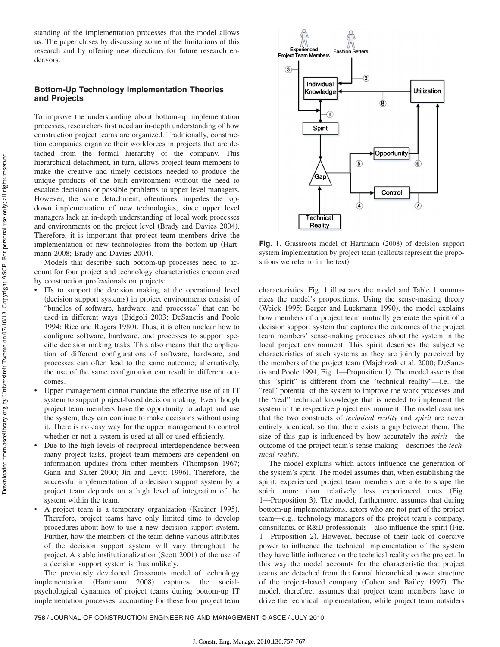standing of the implementation processes that the model allows us. The paper closes by discussing some of the limitations of this research and by offering new directions for future research endeavors.

## **Bottom-Up Technology Implementation Theories and Projects**

To improve the understanding about bottom-up implementation processes, researchers first need an in-depth understanding of how construction project teams are organized. Traditionally, construction companies organize their workforces in projects that are detached from the formal hierarchy of the company. This hierarchical detachment, in turn, allows project team members to make the creative and timely decisions needed to produce the unique products of the built environment without the need to escalate decisions or possible problems to upper level managers. However, the same detachment, oftentimes, impedes the topdown implementation of new technologies, since upper level managers lack an in-depth understanding of local work processes and environments on the project level (Brady and Davies 2004). Therefore, it is important that project team members drive the implementation of new technologies from the bottom-up (Hartmann 2008; Brady and Davies 2004).

Models that describe such bottom-up processes need to account for four project and technology characteristics encountered by construction professionals on projects:

- ITs to support the decision making at the operational level (decision support systems) in project environments consist of "bundles of software, hardware, and processes" that can be used in different ways (Bidgoli 2003; DeSanctis and Poole 1994; Rice and Rogers 1980). Thus, it is often unclear how to configure software, hardware, and processes to support specific decision making tasks. This also means that the application of different configurations of software, hardware, and processes can often lead to the same outcome; alternatively, the use of the same configuration can result in different outcomes.
- Upper management cannot mandate the effective use of an IT system to support project-based decision making. Even though project team members have the opportunity to adopt and use the system, they can continue to make decisions without using it. There is no easy way for the upper management to control whether or not a system is used at all or used efficiently.
- Due to the high levels of reciprocal interdependence between many project tasks, project team members are dependent on information updates from other members (Thompson 1967; Gann and Salter 2000; Jin and Levitt 1996). Therefore, the successful implementation of a decision support system by a project team depends on a high level of integration of the system within the team.
- A project team is a temporary organization (Kreiner 1995). Therefore, project teams have only limited time to develop procedures about how to use a new decision support system. Further, how the members of the team define various attributes of the decision support system will vary throughout the project. A stable institutionalization (Scott 2001) of the use of a decision support system is thus unlikely.

The previously developed Grassroots model of technology implementation (Hartmann 2008) captures the socialpsychological dynamics of project teams during bottom-up IT implementation processes, accounting for these four project team



Fig. 1. Grassroots model of Hartmann (2008) of decision support system implementation by project team (callouts represent the propositions we refer to in the text)

characteristics. Fig. 1 illustrates the model and Table 1 summarizes the model's propositions. Using the sense-making theory (Weick 1995; Berger and Luckmann 1990), the model explains how members of a project team mutually generate the spirit of a decision support system that captures the outcomes of the project team members' sense-making processes about the system in the local project environment. This spirit describes the subjective characteristics of such systems as they are jointly perceived by the members of the project team Majchrzak et al. 2000; DeSanctis and Poole 1994, Fig. 1—Proposition 1). The model asserts that this "spirit" is different from the "technical reality"—i.e., the "real" potential of the system to improve the work processes and the "real" technical knowledge that is needed to implement the system in the respective project environment. The model assumes that the two constructs of *technical reality* and *spirit* are never entirely identical, so that there exists a gap between them. The size of this gap is influenced by how accurately the *spirit*—the outcome of the project team's sense-making—describes the *technical reality*.

The model explains which actors influence the generation of the system's spirit. The model assumes that, when establishing the spirit, experienced project team members are able to shape the spirit more than relatively less experienced ones (Fig. 1—Proposition 3). The model, furthermore, assumes that during bottom-up implementations, actors who are not part of the project team—e.g., technology managers of the project team's company, consultants, or R&D professionals—also influence the spirit (Fig. 1—Proposition 2). However, because of their lack of coercive power to influence the technical implementation of the system they have little influence on the technical reality on the project. In this way the model accounts for the characteristic that project teams are detached from the formal hierarchical power structure of the project-based company (Cohen and Bailey 1997). The model, therefore, assumes that project team members have to drive the technical implementation, while project team outsiders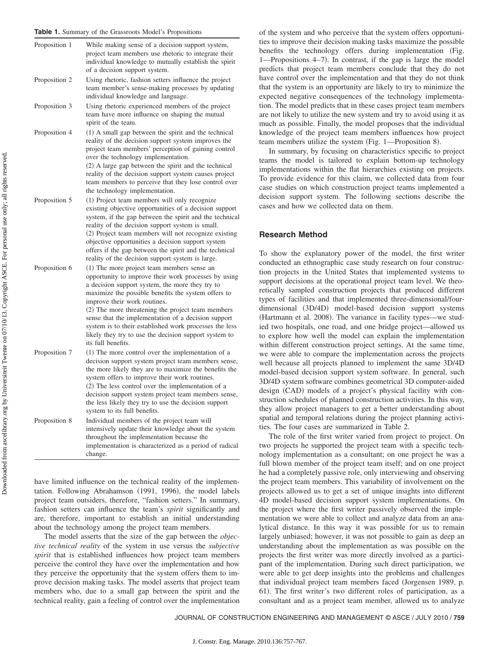#### **Table 1.** Summary of the Grassroots Model's Propositions

| Proposition 1 | While making sense of a decision support system,<br>project team members use rhetoric to integrate their<br>individual knowledge to mutually establish the spirit<br>of a decision support system.                                                                                                                                                                                                                                                                                                |
|---------------|---------------------------------------------------------------------------------------------------------------------------------------------------------------------------------------------------------------------------------------------------------------------------------------------------------------------------------------------------------------------------------------------------------------------------------------------------------------------------------------------------|
| Proposition 2 | Using rhetoric, fashion setters influence the project<br>team member's sense-making processes by updating<br>individual knowledge and language.                                                                                                                                                                                                                                                                                                                                                   |
| Proposition 3 | Using rhetoric experienced members of the project<br>team have more influence on shaping the mutual<br>spirit of the team.                                                                                                                                                                                                                                                                                                                                                                        |
| Proposition 4 | (1) A small gap between the spirit and the technical<br>reality of the decision support system improves the<br>project team members' perception of gaining control<br>over the technology implementation.<br>(2) A large gap between the spirit and the technical<br>reality of the decision support system causes project<br>team members to perceive that they lose control over<br>the technology implementation.                                                                              |
| Proposition 5 | (1) Project team members will only recognize<br>existing objective opportunities of a decision support<br>system, if the gap between the spirit and the technical<br>reality of the decision support system is small.<br>(2) Project team members will not recognize existing<br>objective opportunities a decision support system<br>offers if the gap between the spirit and the technical<br>reality of the decision support system is large.                                                  |
| Proposition 6 | (1) The more project team members sense an<br>opportunity to improve their work processes by using<br>a decision support system, the more they try to<br>maximize the possible benefits the system offers to<br>improve their work routines.<br>(2) The more threatening the project team members<br>sense that the implementation of a decision support<br>system is to their established work processes the less<br>likely they try to use the decision support system to<br>its full benefits. |
| Proposition 7 | (1) The more control over the implementation of a<br>decision support system project team members sense,<br>the more likely they are to maximize the benefits the<br>system offers to improve their work routines.<br>(2) The less control over the implementation of a<br>decision support system project team members sense,<br>the less likely they try to use the decision support<br>system to its full benefits.                                                                            |
| Proposition 8 | Individual members of the project team will<br>intensively update their knowledge about the system<br>throughout the implementation because the<br>implementation is characterized as a period of radical<br>change.                                                                                                                                                                                                                                                                              |

have limited influence on the technical reality of the implementation. Following Abrahamson (1991, 1996), the model labels project team outsiders, therefore, "fashion setters." In summary, fashion setters can influence the team's *spirit* significantly and are, therefore, important to establish an initial understanding about the technology among the project team members.

The model asserts that the size of the gap between the *objective technical reality* of the system in use versus the *subjective spirit* that is established influences how project team members perceive the control they have over the implementation and how they perceive the opportunity that the system offers them to improve decision making tasks. The model asserts that project team members who, due to a small gap between the spirit and the technical reality, gain a feeling of control over the implementation of the system and who perceive that the system offers opportunities to improve their decision making tasks maximize the possible benefits the technology offers during implementation (Fig. 1—Propositions 4–7). In contrast, if the gap is large the model predicts that project team members conclude that they do not have control over the implementation and that they do not think that the system is an opportunity are likely to try to minimize the expected negative consequences of the technology implementation. The model predicts that in these cases project team members are not likely to utilize the new system and try to avoid using it as much as possible. Finally, the model proposes that the individual knowledge of the project team members influences how project team members utilize the system (Fig. 1—Proposition 8).

In summary, by focusing on characteristics specific to project teams the model is tailored to explain bottom-up technology implementations within the flat hierarchies existing on projects. To provide evidence for this claim, we collected data from four case studies on which construction project teams implemented a decision support system. The following sections describe the cases and how we collected data on them.

#### **Research Method**

To show the explanatory power of the model, the first writer conducted an ethnographic case study research on four construction projects in the United States that implemented systems to support decisions at the operational project team level. We theoretically sampled construction projects that produced different types of facilities and that implemented three-dimensional/fourdimensional (3D/4D) model-based decision support systems (Hartmann et al. 2008). The variance in facility types—we studied two hospitals, one road, and one bridge project—allowed us to explore how well the model can explain the implementation within different construction project settings. At the same time, we were able to compare the implementation across the projects well because all projects planned to implement the same 3D/4D model-based decision support system software. In general, such 3D/4D system software combines geometrical 3D computer-aided design (CAD) models of a project's physical facility with construction schedules of planned construction activities. In this way, they allow project managers to get a better understanding about spatial and temporal relations during the project planning activities. The four cases are summarized in Table 2.

The role of the first writer varied from project to project. On two projects he supported the project team with a specific technology implementation as a consultant; on one project he was a full blown member of the project team itself; and on one project he had a completely passive role, only interviewing and observing the project team members. This variability of involvement on the projects allowed us to get a set of unique insights into different 4D model-based decision support system implementations. On the project where the first writer passively observed the implementation we were able to collect and analyze data from an analytical distance. In this way it was possible for us to remain largely unbiased; however, it was not possible to gain as deep an understanding about the implementation as was possible on the projects the first writer was more directly involved as a participant of the implementation. During such direct participation, we were able to get deep insights into the problems and challenges that individual project team members faced Jorgensen 1989, p. 61). The first writer's two different roles of participation, as a consultant and as a project team member, allowed us to analyze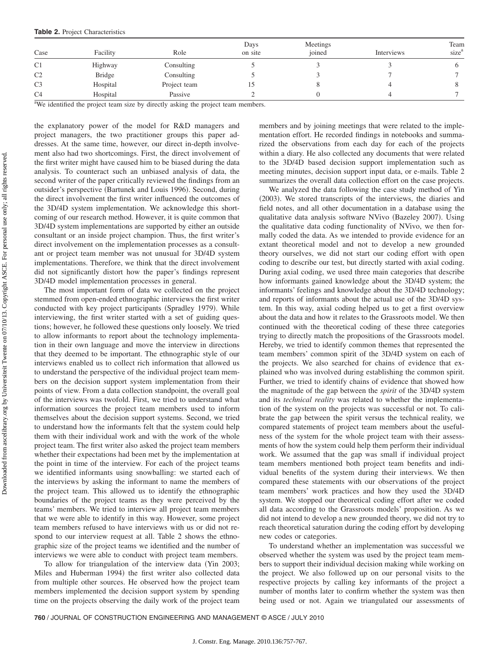|  |  |  | <b>Table 2.</b> Project Characteristics |
|--|--|--|-----------------------------------------|
|--|--|--|-----------------------------------------|

| Case           | Facility      | Role         | Days<br>on site | Meetings<br>joined | Interviews | Team<br>size <sup>a</sup> |
|----------------|---------------|--------------|-----------------|--------------------|------------|---------------------------|
| C <sub>1</sub> | Highway       | Consulting   |                 |                    |            |                           |
| C <sub>2</sub> | <b>Bridge</b> | Consulting   |                 |                    |            |                           |
| C <sub>3</sub> | Hospital      | Project team |                 |                    |            |                           |
| C <sub>4</sub> | Hospital      | Passive      |                 |                    |            |                           |

<sup>a</sup>We identified the project team size by directly asking the project team members.

the explanatory power of the model for R&D managers and project managers, the two practitioner groups this paper addresses. At the same time, however, our direct in-depth involvement also had two shortcomings. First, the direct involvement of the first writer might have caused him to be biased during the data analysis. To counteract such an unbiased analysis of data, the second writer of the paper critically reviewed the findings from an outsider's perspective (Bartunek and Louis 1996). Second, during the direct involvement the first writer influenced the outcomes of the 3D/4D system implementation. We acknowledge this shortcoming of our research method. However, it is quite common that 3D/4D system implementations are supported by either an outside consultant or an inside project champion. Thus, the first writer's direct involvement on the implementation processes as a consultant or project team member was not unusual for 3D/4D system implementations. Therefore, we think that the direct involvement did not significantly distort how the paper's findings represent 3D/4D model implementation processes in general.

The most important form of data we collected on the project stemmed from open-ended ethnographic interviews the first writer conducted with key project participants (Spradley 1979). While interviewing, the first writer started with a set of guiding questions; however, he followed these questions only loosely. We tried to allow informants to report about the technology implementation in their own language and move the interview in directions that they deemed to be important. The ethnographic style of our interviews enabled us to collect rich information that allowed us to understand the perspective of the individual project team members on the decision support system implementation from their points of view. From a data collection standpoint, the overall goal of the interviews was twofold. First, we tried to understand what information sources the project team members used to inform themselves about the decision support systems. Second, we tried to understand how the informants felt that the system could help them with their individual work and with the work of the whole project team. The first writer also asked the project team members whether their expectations had been met by the implementation at the point in time of the interview. For each of the project teams we identified informants using snowballing: we started each of the interviews by asking the informant to name the members of the project team. This allowed us to identify the ethnographic boundaries of the project teams as they were perceived by the teams' members. We tried to interview all project team members that we were able to identify in this way. However, some project team members refused to have interviews with us or did not respond to our interview request at all. Table 2 shows the ethnographic size of the project teams we identified and the number of interviews we were able to conduct with project team members.

To allow for triangulation of the interview data Yin 2003; Miles and Huberman 1994) the first writer also collected data from multiple other sources. He observed how the project team members implemented the decision support system by spending time on the projects observing the daily work of the project team members and by joining meetings that were related to the implementation effort. He recorded findings in notebooks and summarized the observations from each day for each of the projects within a diary. He also collected any documents that were related to the 3D/4D based decision support implementation such as meeting minutes, decision support input data, or e-mails. Table 2 summarizes the overall data collection effort on the case projects.

We analyzed the data following the case study method of Yin (2003). We stored transcripts of the interviews, the diaries and field notes, and all other documentation in a database using the qualitative data analysis software NVivo (Bazeley 2007). Using the qualitative data coding functionality of NVivo, we then formally coded the data. As we intended to provide evidence for an extant theoretical model and not to develop a new grounded theory ourselves, we did not start our coding effort with open coding to describe our test, but directly started with axial coding. During axial coding, we used three main categories that describe how informants gained knowledge about the 3D/4D system; the informants' feelings and knowledge about the 3D/4D technology; and reports of informants about the actual use of the 3D/4D system. In this way, axial coding helped us to get a first overview about the data and how it relates to the Grassroots model. We then continued with the theoretical coding of these three categories trying to directly match the propositions of the Grassroots model. Hereby, we tried to identify common themes that represented the team members' common spirit of the 3D/4D system on each of the projects. We also searched for chains of evidence that explained who was involved during establishing the common spirit. Further, we tried to identify chains of evidence that showed how the magnitude of the gap between the *spirit* of the 3D/4D system and its *technical reality* was related to whether the implementation of the system on the projects was successful or not. To calibrate the gap between the spirit versus the technical reality, we compared statements of project team members about the usefulness of the system for the whole project team with their assessments of how the system could help them perform their individual work. We assumed that the gap was small if individual project team members mentioned both project team benefits and individual benefits of the system during their interviews. We then compared these statements with our observations of the project team members' work practices and how they used the 3D/4D system. We stopped our theoretical coding effort after we coded all data according to the Grassroots models' proposition. As we did not intend to develop a new grounded theory, we did not try to reach theoretical saturation during the coding effort by developing new codes or categories.

To understand whether an implementation was successful we observed whether the system was used by the project team members to support their individual decision making while working on the project. We also followed up on our personal visits to the respective projects by calling key informants of the project a number of months later to confirm whether the system was then being used or not. Again we triangulated our assessments of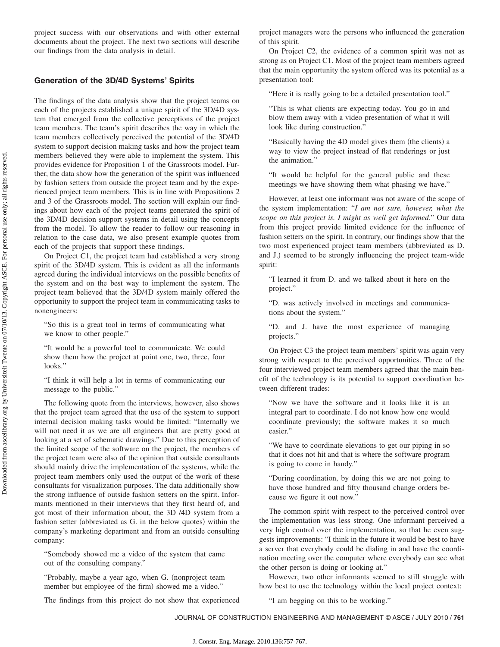project success with our observations and with other external documents about the project. The next two sections will describe our findings from the data analysis in detail.

## **Generation of the 3D/4D Systems' Spirits**

The findings of the data analysis show that the project teams on each of the projects established a unique spirit of the 3D/4D system that emerged from the collective perceptions of the project team members. The team's spirit describes the way in which the team members collectively perceived the potential of the 3D/4D system to support decision making tasks and how the project team members believed they were able to implement the system. This provides evidence for Proposition 1 of the Grassroots model. Further, the data show how the generation of the spirit was influenced by fashion setters from outside the project team and by the experienced project team members. This is in line with Propositions 2 and 3 of the Grassroots model. The section will explain our findings about how each of the project teams generated the spirit of the 3D/4D decision support systems in detail using the concepts from the model. To allow the reader to follow our reasoning in relation to the case data, we also present example quotes from each of the projects that support these findings.

On Project C1, the project team had established a very strong spirit of the 3D/4D system. This is evident as all the informants agreed during the individual interviews on the possible benefits of the system and on the best way to implement the system. The project team believed that the 3D/4D system mainly offered the opportunity to support the project team in communicating tasks to nonengineers:

"So this is a great tool in terms of communicating what we know to other people."

"It would be a powerful tool to communicate. We could show them how the project at point one, two, three, four looks."

"I think it will help a lot in terms of communicating our message to the public."

The following quote from the interviews, however, also shows that the project team agreed that the use of the system to support internal decision making tasks would be limited: "Internally we will not need it as we are all engineers that are pretty good at looking at a set of schematic drawings." Due to this perception of the limited scope of the software on the project, the members of the project team were also of the opinion that outside consultants should mainly drive the implementation of the systems, while the project team members only used the output of the work of these consultants for visualization purposes. The data additionally show the strong influence of outside fashion setters on the spirit. Informants mentioned in their interviews that they first heard of, and got most of their information about, the 3D /4D system from a fashion setter (abbreviated as G. in the below quotes) within the company's marketing department and from an outside consulting company:

"Somebody showed me a video of the system that came out of the consulting company."

"Probably, maybe a year ago, when G. (nonproject team member but employee of the firm) showed me a video."

The findings from this project do not show that experienced

project managers were the persons who influenced the generation of this spirit.

On Project C2, the evidence of a common spirit was not as strong as on Project C1. Most of the project team members agreed that the main opportunity the system offered was its potential as a presentation tool:

"Here it is really going to be a detailed presentation tool."

"This is what clients are expecting today. You go in and blow them away with a video presentation of what it will look like during construction."

"Basically having the 4D model gives them (the clients) a way to view the project instead of flat renderings or just the animation."

"It would be helpful for the general public and these meetings we have showing them what phasing we have."

However, at least one informant was not aware of the scope of the system implementation: "*I am not sure, however, what the scope on this project is. I might as well get informed.*" Our data from this project provide limited evidence for the influence of fashion setters on the spirit. In contrary, our findings show that the two most experienced project team members (abbreviated as D. and J.) seemed to be strongly influencing the project team-wide spirit:

"I learned it from D. and we talked about it here on the project."

"D. was actively involved in meetings and communications about the system."

"D. and J. have the most experience of managing projects."

On Project C3 the project team members' spirit was again very strong with respect to the perceived opportunities. Three of the four interviewed project team members agreed that the main benefit of the technology is its potential to support coordination between different trades:

"Now we have the software and it looks like it is an integral part to coordinate. I do not know how one would coordinate previously; the software makes it so much easier."

"We have to coordinate elevations to get our piping in so that it does not hit and that is where the software program is going to come in handy."

"During coordination, by doing this we are not going to have those hundred and fifty thousand change orders because we figure it out now."

The common spirit with respect to the perceived control over the implementation was less strong. One informant perceived a very high control over the implementation, so that he even suggests improvements: "I think in the future it would be best to have a server that everybody could be dialing in and have the coordination meeting over the computer where everybody can see what the other person is doing or looking at."

However, two other informants seemed to still struggle with how best to use the technology within the local project context:

"I am begging on this to be working."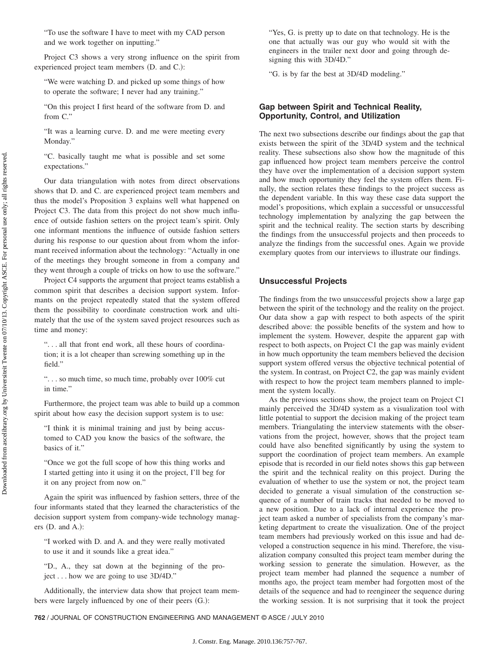"To use the software I have to meet with my CAD person and we work together on inputting."

Project C3 shows a very strong influence on the spirit from experienced project team members (D. and C.):

"We were watching D. and picked up some things of how to operate the software; I never had any training."

"On this project I first heard of the software from D. and from C."

"It was a learning curve. D. and me were meeting every Monday."

"C. basically taught me what is possible and set some expectations."

Our data triangulation with notes from direct observations shows that D. and C. are experienced project team members and thus the model's Proposition 3 explains well what happened on Project C3. The data from this project do not show much influence of outside fashion setters on the project team's spirit. Only one informant mentions the influence of outside fashion setters during his response to our question about from whom the informant received information about the technology: "Actually in one of the meetings they brought someone in from a company and they went through a couple of tricks on how to use the software."

Project C4 supports the argument that project teams establish a common spirit that describes a decision support system. Informants on the project repeatedly stated that the system offered them the possibility to coordinate construction work and ultimately that the use of the system saved project resources such as time and money:

"... all that front end work, all these hours of coordination; it is a lot cheaper than screwing something up in the field."

". . . so much time, so much time, probably over 100% cut in time."

Furthermore, the project team was able to build up a common spirit about how easy the decision support system is to use:

"I think it is minimal training and just by being accustomed to CAD you know the basics of the software, the basics of it."

"Once we got the full scope of how this thing works and I started getting into it using it on the project, I'll beg for it on any project from now on."

Again the spirit was influenced by fashion setters, three of the four informants stated that they learned the characteristics of the decision support system from company-wide technology manag $ers$  (D. and A.):

"I worked with D. and A. and they were really motivated to use it and it sounds like a great idea."

"D., A., they sat down at the beginning of the project . . . how we are going to use 3D/4D."

Additionally, the interview data show that project team members were largely influenced by one of their peers (G.):

"Yes, G. is pretty up to date on that technology. He is the one that actually was our guy who would sit with the engineers in the trailer next door and going through designing this with 3D/4D."

"G. is by far the best at 3D/4D modeling."

## **Gap between Spirit and Technical Reality, Opportunity, Control, and Utilization**

The next two subsections describe our findings about the gap that exists between the spirit of the 3D/4D system and the technical reality. These subsections also show how the magnitude of this gap influenced how project team members perceive the control they have over the implementation of a decision support system and how much opportunity they feel the system offers them. Finally, the section relates these findings to the project success as the dependent variable. In this way these case data support the model's propositions, which explain a successful or unsuccessful technology implementation by analyzing the gap between the spirit and the technical reality. The section starts by describing the findings from the unsuccessful projects and then proceeds to analyze the findings from the successful ones. Again we provide exemplary quotes from our interviews to illustrate our findings.

### **Unsuccessful Projects**

The findings from the two unsuccessful projects show a large gap between the spirit of the technology and the reality on the project. Our data show a gap with respect to both aspects of the spirit described above: the possible benefits of the system and how to implement the system. However, despite the apparent gap with respect to both aspects, on Project C1 the gap was mainly evident in how much opportunity the team members believed the decision support system offered versus the objective technical potential of the system. In contrast, on Project C2, the gap was mainly evident with respect to how the project team members planned to implement the system locally.

As the previous sections show, the project team on Project C1 mainly perceived the 3D/4D system as a visualization tool with little potential to support the decision making of the project team members. Triangulating the interview statements with the observations from the project, however, shows that the project team could have also benefited significantly by using the system to support the coordination of project team members. An example episode that is recorded in our field notes shows this gap between the spirit and the technical reality on this project. During the evaluation of whether to use the system or not, the project team decided to generate a visual simulation of the construction sequence of a number of train tracks that needed to be moved to a new position. Due to a lack of internal experience the project team asked a number of specialists from the company's marketing department to create the visualization. One of the project team members had previously worked on this issue and had developed a construction sequence in his mind. Therefore, the visualization company consulted this project team member during the working session to generate the simulation. However, as the project team member had planned the sequence a number of months ago, the project team member had forgotten most of the details of the sequence and had to reengineer the sequence during the working session. It is not surprising that it took the project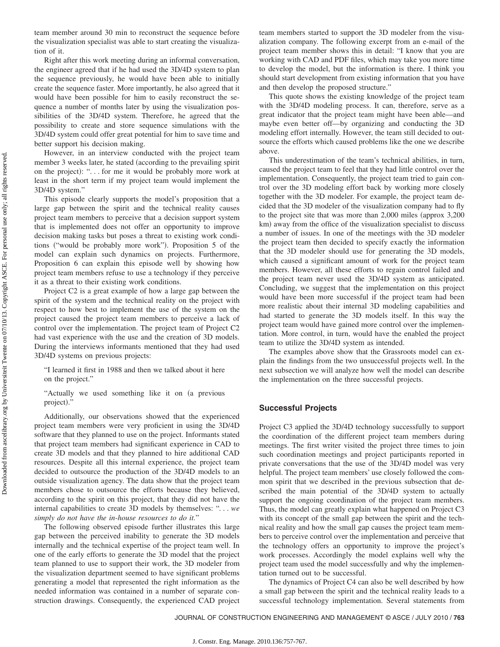team member around 30 min to reconstruct the sequence before the visualization specialist was able to start creating the visualization of it.

Right after this work meeting during an informal conversation, the engineer agreed that if he had used the 3D/4D system to plan the sequence previously, he would have been able to initially create the sequence faster. More importantly, he also agreed that it would have been possible for him to easily reconstruct the sequence a number of months later by using the visualization possibilities of the 3D/4D system. Therefore, he agreed that the possibility to create and store sequence simulations with the 3D/4D system could offer great potential for him to save time and better support his decision making.

However, in an interview conducted with the project team member 3 weeks later, he stated (according to the prevailing spirit on the project): "... for me it would be probably more work at least in the short term if my project team would implement the 3D/4D system."

This episode clearly supports the model's proposition that a large gap between the spirit and the technical reality causes project team members to perceive that a decision support system that is implemented does not offer an opportunity to improve decision making tasks but poses a threat to existing work conditions ("would be probably more work"). Proposition 5 of the model can explain such dynamics on projects. Furthermore, Proposition 6 can explain this episode well by showing how project team members refuse to use a technology if they perceive it as a threat to their existing work conditions.

Project C2 is a great example of how a large gap between the spirit of the system and the technical reality on the project with respect to how best to implement the use of the system on the project caused the project team members to perceive a lack of control over the implementation. The project team of Project C2 had vast experience with the use and the creation of 3D models. During the interviews informants mentioned that they had used 3D/4D systems on previous projects:

"I learned it first in 1988 and then we talked about it here on the project."

"Actually we used something like it on (a previous project)."

Additionally, our observations showed that the experienced project team members were very proficient in using the 3D/4D software that they planned to use on the project. Informants stated that project team members had significant experience in CAD to create 3D models and that they planned to hire additional CAD resources. Despite all this internal experience, the project team decided to outsource the production of the 3D/4D models to an outside visualization agency. The data show that the project team members chose to outsource the efforts because they believed, according to the spirit on this project, that they did not have the internal capabilities to create 3D models by themselves: "*. . . we simply do not have the in-house resources to do it.*"

The following observed episode further illustrates this large gap between the perceived inability to generate the 3D models internally and the technical expertise of the project team well. In one of the early efforts to generate the 3D model that the project team planned to use to support their work, the 3D modeler from the visualization department seemed to have significant problems generating a model that represented the right information as the needed information was contained in a number of separate construction drawings. Consequently, the experienced CAD project team members started to support the 3D modeler from the visualization company. The following excerpt from an e-mail of the project team member shows this in detail: "I know that you are working with CAD and PDF files, which may take you more time to develop the model, but the information is there. I think you should start development from existing information that you have and then develop the proposed structure."

This quote shows the existing knowledge of the project team with the 3D/4D modeling process. It can, therefore, serve as a great indicator that the project team might have been able—and maybe even better off—by organizing and conducting the 3D modeling effort internally. However, the team still decided to outsource the efforts which caused problems like the one we describe above.

This underestimation of the team's technical abilities, in turn, caused the project team to feel that they had little control over the implementation. Consequently, the project team tried to gain control over the 3D modeling effort back by working more closely together with the 3D modeler. For example, the project team decided that the 3D modeler of the visualization company had to fly to the project site that was more than  $2,000$  miles (approx  $3,200$ km) away from the office of the visualization specialist to discuss a number of issues. In one of the meetings with the 3D modeler the project team then decided to specify exactly the information that the 3D modeler should use for generating the 3D models, which caused a significant amount of work for the project team members. However, all these efforts to regain control failed and the project team never used the 3D/4D system as anticipated. Concluding, we suggest that the implementation on this project would have been more successful if the project team had been more realistic about their internal 3D modeling capabilities and had started to generate the 3D models itself. In this way the project team would have gained more control over the implementation. More control, in turn, would have the enabled the project team to utilize the 3D/4D system as intended.

The examples above show that the Grassroots model can explain the findings from the two unsuccessful projects well. In the next subsection we will analyze how well the model can describe the implementation on the three successful projects.

#### **Successful Projects**

Project C3 applied the 3D/4D technology successfully to support the coordination of the different project team members during meetings. The first writer visited the project three times to join such coordination meetings and project participants reported in private conversations that the use of the 3D/4D model was very helpful. The project team members' use closely followed the common spirit that we described in the previous subsection that described the main potential of the 3D/4D system to actually support the ongoing coordination of the project team members. Thus, the model can greatly explain what happened on Project C3 with its concept of the small gap between the spirit and the technical reality and how the small gap causes the project team members to perceive control over the implementation and perceive that the technology offers an opportunity to improve the project's work processes. Accordingly the model explains well why the project team used the model successfully and why the implementation turned out to be successful.

The dynamics of Project C4 can also be well described by how a small gap between the spirit and the technical reality leads to a successful technology implementation. Several statements from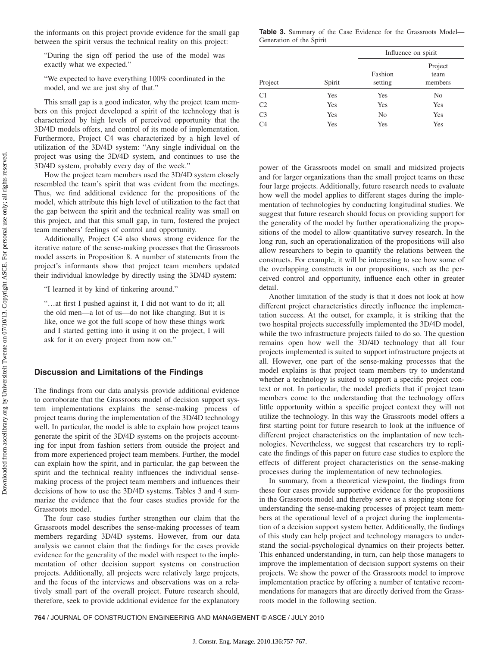the informants on this project provide evidence for the small gap between the spirit versus the technical reality on this project:

"During the sign off period the use of the model was exactly what we expected."

"We expected to have everything 100% coordinated in the model, and we are just shy of that."

This small gap is a good indicator, why the project team members on this project developed a spirit of the technology that is characterized by high levels of perceived opportunity that the 3D/4D models offers, and control of its mode of implementation. Furthermore, Project C4 was characterized by a high level of utilization of the 3D/4D system: "Any single individual on the project was using the 3D/4D system, and continues to use the 3D/4D system, probably every day of the week."

How the project team members used the 3D/4D system closely resembled the team's spirit that was evident from the meetings. Thus, we find additional evidence for the propositions of the model, which attribute this high level of utilization to the fact that the gap between the spirit and the technical reality was small on this project, and that this small gap, in turn, fostered the project team members' feelings of control and opportunity.

Additionally, Project C4 also shows strong evidence for the iterative nature of the sense-making processes that the Grassroots model asserts in Proposition 8. A number of statements from the project's informants show that project team members updated their individual knowledge by directly using the 3D/4D system:

"I learned it by kind of tinkering around."

"…at first I pushed against it, I did not want to do it; all the old men—a lot of us—do not like changing. But it is like, once we got the full scope of how these things work and I started getting into it using it on the project, I will ask for it on every project from now on."

#### **Discussion and Limitations of the Findings**

The findings from our data analysis provide additional evidence to corroborate that the Grassroots model of decision support system implementations explains the sense-making process of project teams during the implementation of the 3D/4D technology well. In particular, the model is able to explain how project teams generate the spirit of the 3D/4D systems on the projects accounting for input from fashion setters from outside the project and from more experienced project team members. Further, the model can explain how the spirit, and in particular, the gap between the spirit and the technical reality influences the individual sensemaking process of the project team members and influences their decisions of how to use the 3D/4D systems. Tables 3 and 4 summarize the evidence that the four cases studies provide for the Grassroots model.

The four case studies further strengthen our claim that the Grassroots model describes the sense-making processes of team members regarding 3D/4D systems. However, from our data analysis we cannot claim that the findings for the cases provide evidence for the generality of the model with respect to the implementation of other decision support systems on construction projects. Additionally, all projects were relatively large projects, and the focus of the interviews and observations was on a relatively small part of the overall project. Future research should, therefore, seek to provide additional evidence for the explanatory

**Table 3.** Summary of the Case Evidence for the Grassroots Model— Generation of the Spirit

|                |        | Influence on spirit |                            |  |  |
|----------------|--------|---------------------|----------------------------|--|--|
| Project        | Spirit | Fashion<br>setting  | Project<br>team<br>members |  |  |
| C <sub>1</sub> | Yes    | Yes                 | N <sub>0</sub>             |  |  |
| C <sub>2</sub> | Yes    | Yes                 | Yes                        |  |  |
| C <sub>3</sub> | Yes    | N <sub>0</sub>      | Yes                        |  |  |
| C <sub>4</sub> | Yes    | Yes                 | Yes                        |  |  |

power of the Grassroots model on small and midsized projects and for larger organizations than the small project teams on these four large projects. Additionally, future research needs to evaluate how well the model applies to different stages during the implementation of technologies by conducting longitudinal studies. We suggest that future research should focus on providing support for the generality of the model by further operationalizing the propositions of the model to allow quantitative survey research. In the long run, such an operationalization of the propositions will also allow researchers to begin to quantify the relations between the constructs. For example, it will be interesting to see how some of the overlapping constructs in our propositions, such as the perceived control and opportunity, influence each other in greater detail.

Another limitation of the study is that it does not look at how different project characteristics directly influence the implementation success. At the outset, for example, it is striking that the two hospital projects successfully implemented the 3D/4D model, while the two infrastructure projects failed to do so. The question remains open how well the 3D/4D technology that all four projects implemented is suited to support infrastructure projects at all. However, one part of the sense-making processes that the model explains is that project team members try to understand whether a technology is suited to support a specific project context or not. In particular, the model predicts that if project team members come to the understanding that the technology offers little opportunity within a specific project context they will not utilize the technology. In this way the Grassroots model offers a first starting point for future research to look at the influence of different project characteristics on the implantation of new technologies. Nevertheless, we suggest that researchers try to replicate the findings of this paper on future case studies to explore the effects of different project characteristics on the sense-making processes during the implementation of new technologies.

In summary, from a theoretical viewpoint, the findings from these four cases provide supportive evidence for the propositions in the Grassroots model and thereby serve as a stepping stone for understanding the sense-making processes of project team members at the operational level of a project during the implementation of a decision support system better. Additionally, the findings of this study can help project and technology managers to understand the social-psychological dynamics on their projects better. This enhanced understanding, in turn, can help those managers to improve the implementation of decision support systems on their projects. We show the power of the Grassroots model to improve implementation practice by offering a number of tentative recommendations for managers that are directly derived from the Grassroots model in the following section.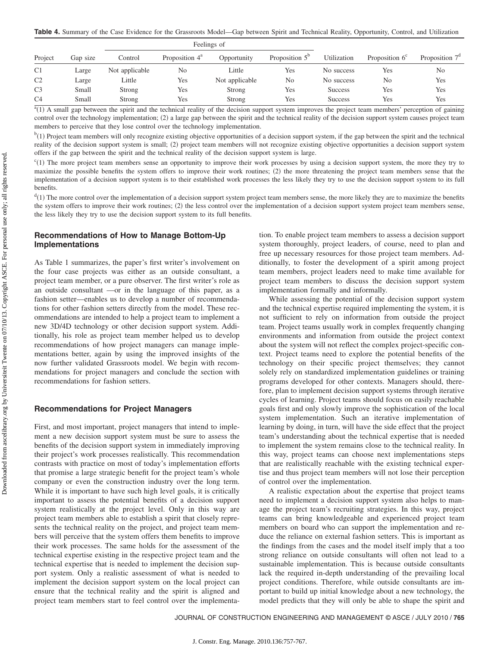**Table 4.** Summary of the Case Evidence for the Grassroots Model—Gap between Spirit and Technical Reality, Opportunity, Control, and Utilization

|                |          | Feelings of    |                   |                |                         |                |                       |                         |
|----------------|----------|----------------|-------------------|----------------|-------------------------|----------------|-----------------------|-------------------------|
| Project        | Gap size | Control        | Proposition $4^a$ | Opportunity    | Proposition $5^{\circ}$ | Utilization    | Proposition $6^\circ$ | Proposition $7^{\circ}$ |
| C <sub>1</sub> | Large    | Not applicable | No                | Little         | Yes                     | No success     | Yes                   | No                      |
| C <sub>2</sub> | Large    | Little         | Yes               | Not applicable | No                      | No success     | No                    | Yes                     |
| C <sub>3</sub> | Small    | Strong         | Yes               | Strong         | Yes                     | <b>Success</b> | Yes                   | Yes                     |
| C <sub>4</sub> | Small    | Strong         | Yes               | Strong         | Yes                     | Success        | Yes                   | Yes                     |

 $a^{a}(1)$  A small gap between the spirit and the technical reality of the decision support system improves the project team members' perception of gaining control over the technology implementation; (2) a large gap between the spirit and the technical reality of the decision support system causes project team members to perceive that they lose control over the technology implementation.

 $b(1)$  Project team members will only recognize existing objective opportunities of a decision support system, if the gap between the spirit and the technical reality of the decision support system is small; (2) project team members will not recognize existing objective opportunities a decision support system offers if the gap between the spirit and the technical reality of the decision support system is large.

 $c(1)$  The more project team members sense an opportunity to improve their work processes by using a decision support system, the more they try to maximize the possible benefits the system offers to improve their work routines; (2) the more threatening the project team members sense that the implementation of a decision support system is to their established work processes the less likely they try to use the decision support system to its full benefits.

 $d(1)$  The more control over the implementation of a decision support system project team members sense, the more likely they are to maximize the benefits the system offers to improve their work routines; (2) the less control over the implementation of a decision support system project team members sense, the less likely they try to use the decision support system to its full benefits.

### **Recommendations of How to Manage Bottom-Up Implementations**

As Table 1 summarizes, the paper's first writer's involvement on the four case projects was either as an outside consultant, a project team member, or a pure observer. The first writer's role as an outside consultant —or in the language of this paper, as a fashion setter—enables us to develop a number of recommendations for other fashion setters directly from the model. These recommendations are intended to help a project team to implement a new 3D/4D technology or other decision support system. Additionally, his role as project team member helped us to develop recommendations of how project managers can manage implementations better, again by using the improved insights of the now further validated Grassroots model. We begin with recommendations for project managers and conclude the section with recommendations for fashion setters.

## **Recommendations for Project Managers**

First, and most important, project managers that intend to implement a new decision support system must be sure to assess the benefits of the decision support system in immediately improving their project's work processes realistically. This recommendation contrasts with practice on most of today's implementation efforts that promise a large strategic benefit for the project team's whole company or even the construction industry over the long term. While it is important to have such high level goals, it is critically important to assess the potential benefits of a decision support system realistically at the project level. Only in this way are project team members able to establish a spirit that closely represents the technical reality on the project, and project team members will perceive that the system offers them benefits to improve their work processes. The same holds for the assessment of the technical expertise existing in the respective project team and the technical expertise that is needed to implement the decision support system. Only a realistic assessment of what is needed to implement the decision support system on the local project can ensure that the technical reality and the spirit is aligned and project team members start to feel control over the implementation. To enable project team members to assess a decision support system thoroughly, project leaders, of course, need to plan and free up necessary resources for those project team members. Additionally, to foster the development of a spirit among project team members, project leaders need to make time available for project team members to discuss the decision support system implementation formally and informally.

While assessing the potential of the decision support system and the technical expertise required implementing the system, it is not sufficient to rely on information from outside the project team. Project teams usually work in complex frequently changing environments and information from outside the project context about the system will not reflect the complex project-specific context. Project teams need to explore the potential benefits of the technology on their specific project themselves; they cannot solely rely on standardized implementation guidelines or training programs developed for other contexts. Managers should, therefore, plan to implement decision support systems through iterative cycles of learning. Project teams should focus on easily reachable goals first and only slowly improve the sophistication of the local system implementation. Such an iterative implementation of learning by doing, in turn, will have the side effect that the project team's understanding about the technical expertise that is needed to implement the system remains close to the technical reality. In this way, project teams can choose next implementations steps that are realistically reachable with the existing technical expertise and thus project team members will not lose their perception of control over the implementation.

A realistic expectation about the expertise that project teams need to implement a decision support system also helps to manage the project team's recruiting strategies. In this way, project teams can bring knowledgeable and experienced project team members on board who can support the implementation and reduce the reliance on external fashion setters. This is important as the findings from the cases and the model itself imply that a too strong reliance on outside consultants will often not lead to a sustainable implementation. This is because outside consultants lack the required in-depth understanding of the prevailing local project conditions. Therefore, while outside consultants are important to build up initial knowledge about a new technology, the model predicts that they will only be able to shape the spirit and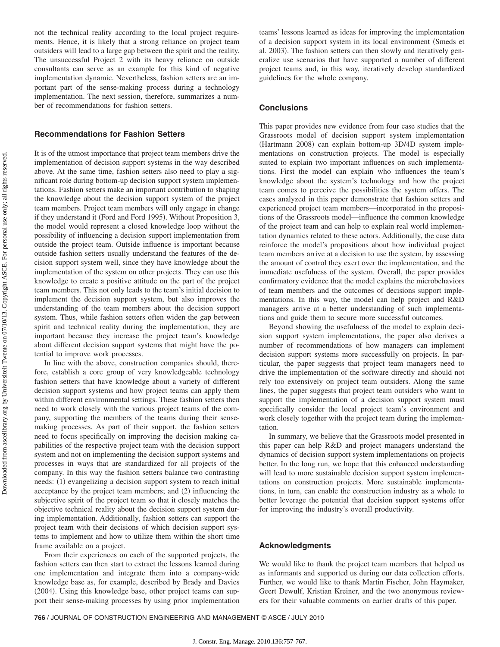not the technical reality according to the local project requirements. Hence, it is likely that a strong reliance on project team outsiders will lead to a large gap between the spirit and the reality. The unsuccessful Project 2 with its heavy reliance on outside consultants can serve as an example for this kind of negative implementation dynamic. Nevertheless, fashion setters are an important part of the sense-making process during a technology implementation. The next session, therefore, summarizes a number of recommendations for fashion setters.

## **Recommendations for Fashion Setters**

It is of the utmost importance that project team members drive the implementation of decision support systems in the way described above. At the same time, fashion setters also need to play a significant role during bottom-up decision support system implementations. Fashion setters make an important contribution to shaping the knowledge about the decision support system of the project team members. Project team members will only engage in change if they understand it (Ford and Ford 1995). Without Proposition 3, the model would represent a closed knowledge loop without the possibility of influencing a decision support implementation from outside the project team. Outside influence is important because outside fashion setters usually understand the features of the decision support system well, since they have knowledge about the implementation of the system on other projects. They can use this knowledge to create a positive attitude on the part of the project team members. This not only leads to the team's initial decision to implement the decision support system, but also improves the understanding of the team members about the decision support system. Thus, while fashion setters often widen the gap between spirit and technical reality during the implementation, they are important because they increase the project team's knowledge about different decision support systems that might have the potential to improve work processes.

In line with the above, construction companies should, therefore, establish a core group of very knowledgeable technology fashion setters that have knowledge about a variety of different decision support systems and how project teams can apply them within different environmental settings. These fashion setters then need to work closely with the various project teams of the company, supporting the members of the teams during their sensemaking processes. As part of their support, the fashion setters need to focus specifically on improving the decision making capabilities of the respective project team with the decision support system and not on implementing the decision support systems and processes in ways that are standardized for all projects of the company. In this way the fashion setters balance two contrasting needs: (1) evangelizing a decision support system to reach initial acceptance by the project team members; and  $(2)$  influencing the subjective spirit of the project team so that it closely matches the objective technical reality about the decision support system during implementation. Additionally, fashion setters can support the project team with their decisions of which decision support systems to implement and how to utilize them within the short time frame available on a project.

From their experiences on each of the supported projects, the fashion setters can then start to extract the lessons learned during one implementation and integrate them into a company-wide knowledge base as, for example, described by Brady and Davies (2004). Using this knowledge base, other project teams can support their sense-making processes by using prior implementation teams' lessons learned as ideas for improving the implementation of a decision support system in its local environment (Smeds et al. 2003). The fashion setters can then slowly and iteratively generalize use scenarios that have supported a number of different project teams and, in this way, iteratively develop standardized guidelines for the whole company.

## **Conclusions**

This paper provides new evidence from four case studies that the Grassroots model of decision support system implementation (Hartmann 2008) can explain bottom-up 3D/4D system implementations on construction projects. The model is especially suited to explain two important influences on such implementations. First the model can explain who influences the team's knowledge about the system's technology and how the project team comes to perceive the possibilities the system offers. The cases analyzed in this paper demonstrate that fashion setters and experienced project team members—incorporated in the propositions of the Grassroots model—influence the common knowledge of the project team and can help to explain real world implementation dynamics related to these actors. Additionally, the case data reinforce the model's propositions about how individual project team members arrive at a decision to use the system, by assessing the amount of control they exert over the implementation, and the immediate usefulness of the system. Overall, the paper provides confirmatory evidence that the model explains the microbehaviors of team members and the outcomes of decisions support implementations. In this way, the model can help project and R&D managers arrive at a better understanding of such implementations and guide them to secure more successful outcomes.

Beyond showing the usefulness of the model to explain decision support system implementations, the paper also derives a number of recommendations of how managers can implement decision support systems more successfully on projects. In particular, the paper suggests that project team managers need to drive the implementation of the software directly and should not rely too extensively on project team outsiders. Along the same lines, the paper suggests that project team outsiders who want to support the implementation of a decision support system must specifically consider the local project team's environment and work closely together with the project team during the implementation.

In summary, we believe that the Grassroots model presented in this paper can help R&D and project managers understand the dynamics of decision support system implementations on projects better. In the long run, we hope that this enhanced understanding will lead to more sustainable decision support system implementations on construction projects. More sustainable implementations, in turn, can enable the construction industry as a whole to better leverage the potential that decision support systems offer for improving the industry's overall productivity.

## **Acknowledgments**

We would like to thank the project team members that helped us as informants and supported us during our data collection efforts. Further, we would like to thank Martin Fischer, John Haymaker, Geert Dewulf, Kristian Kreiner, and the two anonymous reviewers for their valuable comments on earlier drafts of this paper.